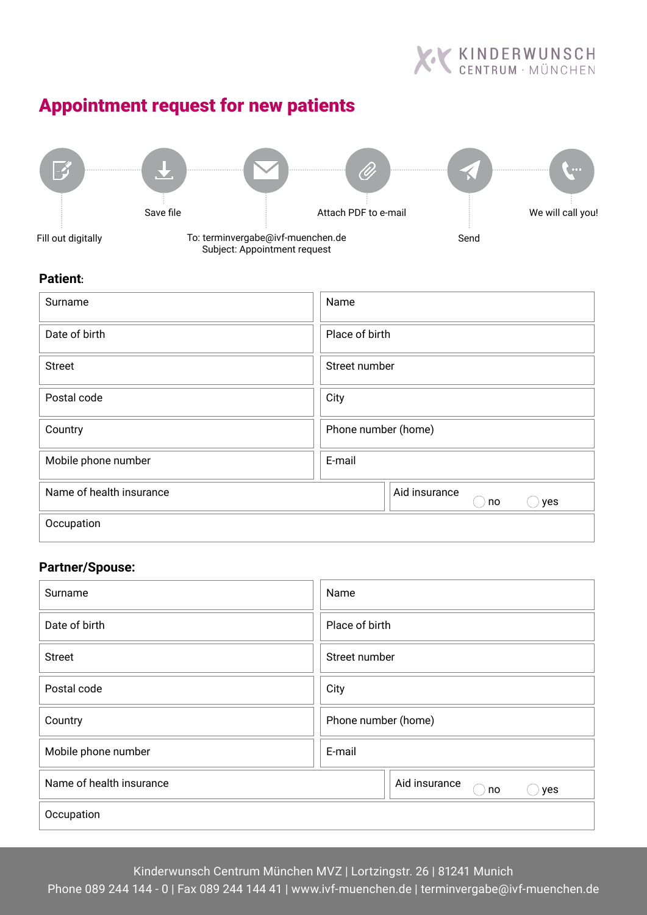

# Appointment request for new patients



#### **Patient:**

| Surname                  | Name                       |  |
|--------------------------|----------------------------|--|
| Date of birth            | Place of birth             |  |
| <b>Street</b>            | Street number              |  |
| Postal code              | City                       |  |
| Country                  | Phone number (home)        |  |
| Mobile phone number      | E-mail                     |  |
| Name of health insurance | Aid insurance<br>yes<br>no |  |
| Occupation               |                            |  |

# **Partner/Spouse:**

| Surname                  | Name                       |  |
|--------------------------|----------------------------|--|
| Date of birth            | Place of birth             |  |
| <b>Street</b>            | Street number              |  |
| Postal code              | City                       |  |
| Country                  | Phone number (home)        |  |
| Mobile phone number      | E-mail                     |  |
| Name of health insurance | Aid insurance<br>yes<br>no |  |
| Occupation               |                            |  |

Kinderwunsch Centrum München MVZ | Lortzingstr. 26 | 81241 Munich

Phone 089 244 144 - 0 | Fax 089 244 144 41 | www.ivf-muenchen.de | terminvergabe@ivf-muenchen.de